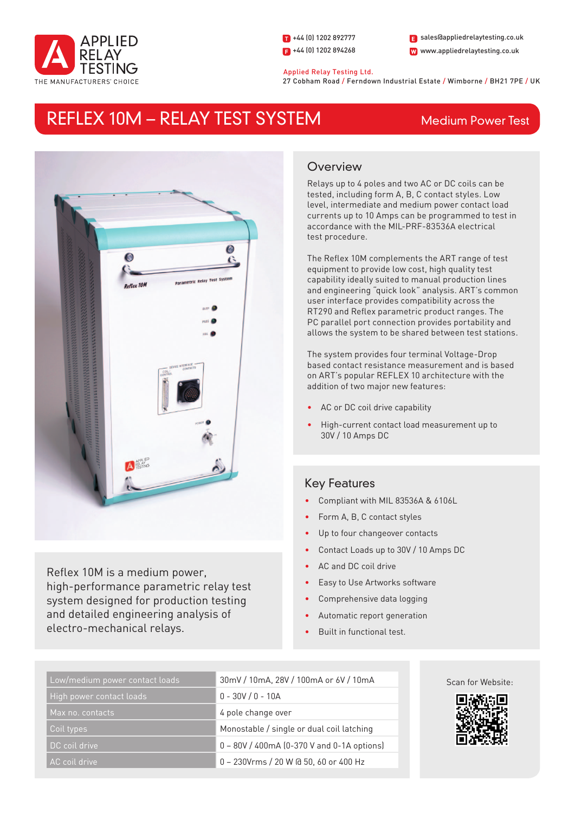

1 +44 (0) 1202 892777  $\Box$  +44 (0) 1202 894268 W www.appliedrelaytesting.co.uk sales@appliedrelaytesting.co.uk

#### Applied Relay Testing Ltd.

27 Cobham Road / Ferndown Industrial Estate / Wimborne / BH21 7PE / UK

# REFLEX 10M - RELAY TEST SYSTEM Medium Power Test



Reflex 10M is a medium power, high-performance parametric relay test system designed for production testing and detailed engineering analysis of electro-mechanical relays.

# **Overview**

Relays up to 4 poles and two AC or DC coils can be tested, including form A, B, C contact styles. Low level, intermediate and medium power contact load currents up to 10 Amps can be programmed to test in accordance with the MIL-PRF-83536A electrical test procedure.

The Reflex 10M complements the ART range of test equipment to provide low cost, high quality test capability ideally suited to manual production lines and engineering "quick look" analysis. ART's common user interface provides compatibility across the RT290 and Reflex parametric product ranges. The PC parallel port connection provides portability and allows the system to be shared between test stations.

The system provides four terminal Voltage-Drop based contact resistance measurement and is based on ART's popular REFLEX 10 architecture with the addition of two major new features:

- • AC or DC coil drive capability
- High-current contact load measurement up to 30V / 10 Amps DC

# Key Features

- Compliant with MIL 83536A & 6106L
- Form A, B, C contact styles
- Up to four changeover contacts
- Contact Loads up to 30V / 10 Amps DC
- AC and DC coil drive
- Easy to Use Artworks software
- Comprehensive data logging
- Automatic report generation
- Built in functional test.

| Low/medium power contact loads | 30mV / 10mA, 28V / 100mA or 6V / 10mA        |
|--------------------------------|----------------------------------------------|
| High power contact loads       | $0 - 30V / 0 - 10A$                          |
| Max no. contacts               | 4 pole change over                           |
| Coil types                     | Monostable / single or dual coil latching    |
| DC coil drive                  | $0 - 80V / 400mA (0-370 V and 0-1A options)$ |
| AC coil drive                  | 0 - 230Vrms / 20 W @ 50, 60 or 400 Hz        |



Scan for Website: